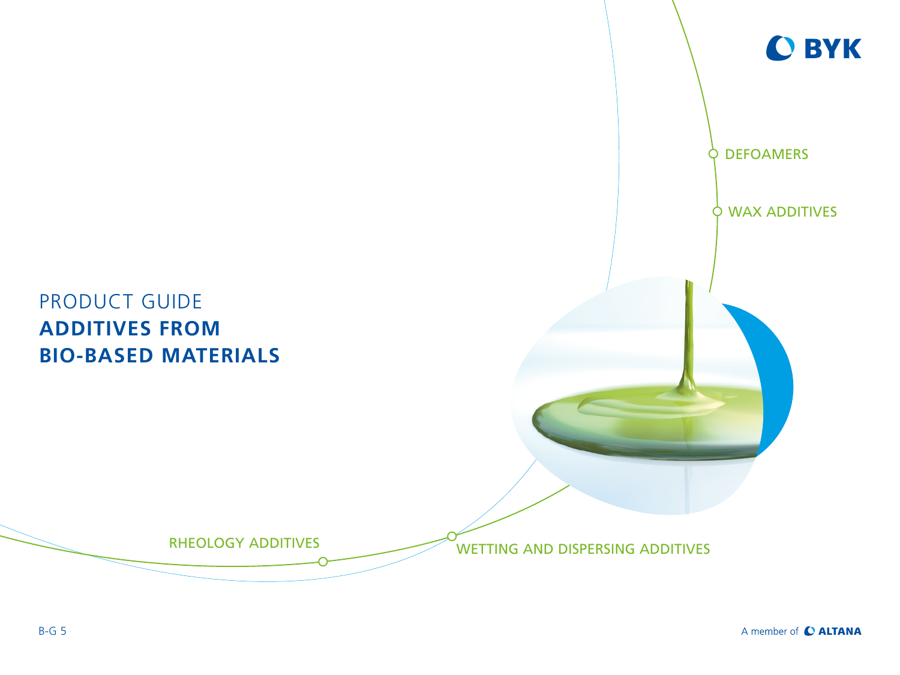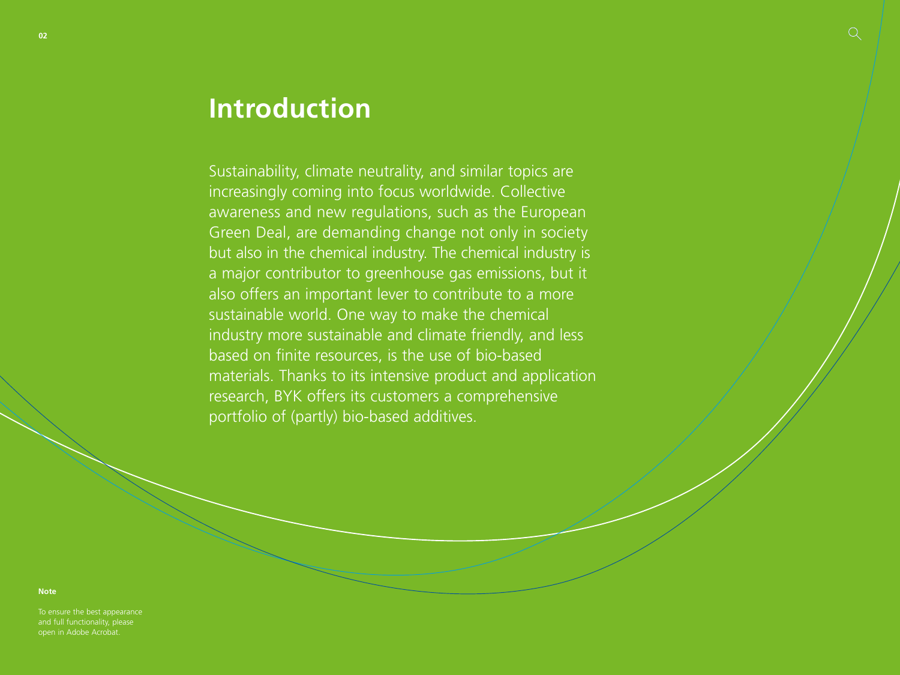# **Introduction**

Sustainability, climate neutrality, and similar topics are increasingly coming into focus worldwide. Collective awareness and new regulations, such as the European Green Deal, are demanding change not only in society but also in the chemical industry. The chemical industry is a major contributor to greenhouse gas emissions, but it also offers an important lever to contribute to a more sustainable world. One way to make the chemical industry more sustainable and climate friendly, and less based on finite resources, is the use of bio-based materials. Thanks to its intensive product and application research, BYK offers its customers a comprehensive portfolio of (partly) bio-based additives.

**Note**

To ensure the best appearance and full functionality, please open in Adobe Acrobat.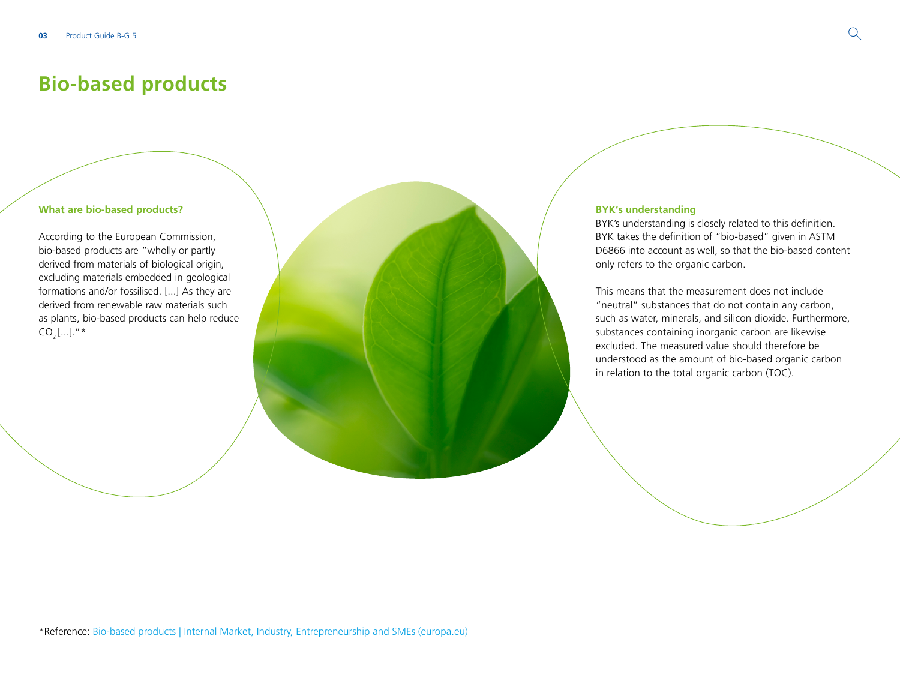## **Bio-based products**

#### **What are bio-based products?**

According to the European Commission, bio-based products are "wholly or partly derived from materials of biological origin, excluding materials embedded in geological formations and/or fossilised. [...] As they are derived from renewable raw materials such as plants, bio-based products can help reduce  $CO, [...]."$ \*

#### **BYK's understanding**

BYK's understanding is closely related to this definition. BYK takes the definition of "bio-based" given in ASTM D6866 into account as well, so that the bio-based content only refers to the organic carbon.

This means that the measurement does not include "neutral" substances that do not contain any carbon, such as water, minerals, and silicon dioxide. Furthermore, substances containing inorganic carbon are likewise excluded. The measured value should therefore be understood as the amount of bio-based organic carbon in relation to the total organic carbon (TOC).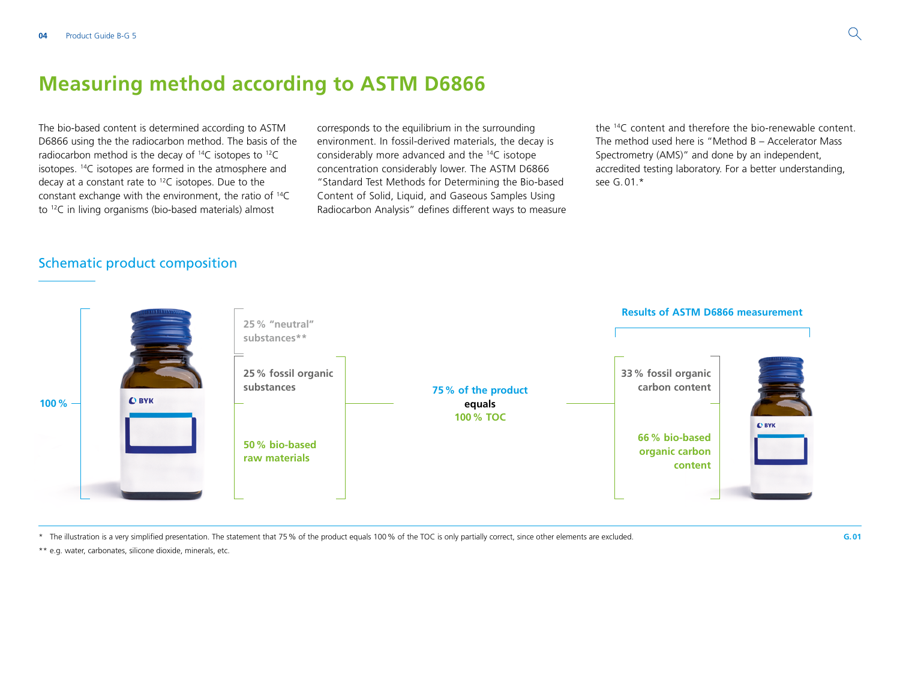## **Measuring method according to ASTM D6866**

The bio-based content is determined according to ASTM D6866 using the the radiocarbon method. The basis of the radiocarbon method is the decay of 14C isotopes to 12C isotopes. 14C isotopes are formed in the atmosphere and decay at a constant rate to 12C isotopes. Due to the constant exchange with the environment, the ratio of 14C to 12C in living organisms (bio-based materials) almost

corresponds to the equilibrium in the surrounding environment. In fossil-derived materials, the decay is considerably more advanced and the 14C isotope concentration considerably lower. The ASTM D6866 "Standard Test Methods for Determining the Bio-based Content of Solid, Liquid, and Gaseous Samples Using Radiocarbon Analysis" defines different ways to measure

the 14C content and therefore the bio-renewable content. The method used here is "Method B – Accelerator Mass Spectrometry (AMS)" and done by an independent, accredited testing laboratory. For a better understanding, see G.01.\*

### Schematic product composition



\* The illustration is a very simplified presentation. The statement that 75% of the product equals 100% of the TOC is only partially correct, since other elements are excluded.

\*\* e.g. water, carbonates, silicone dioxide, minerals, etc.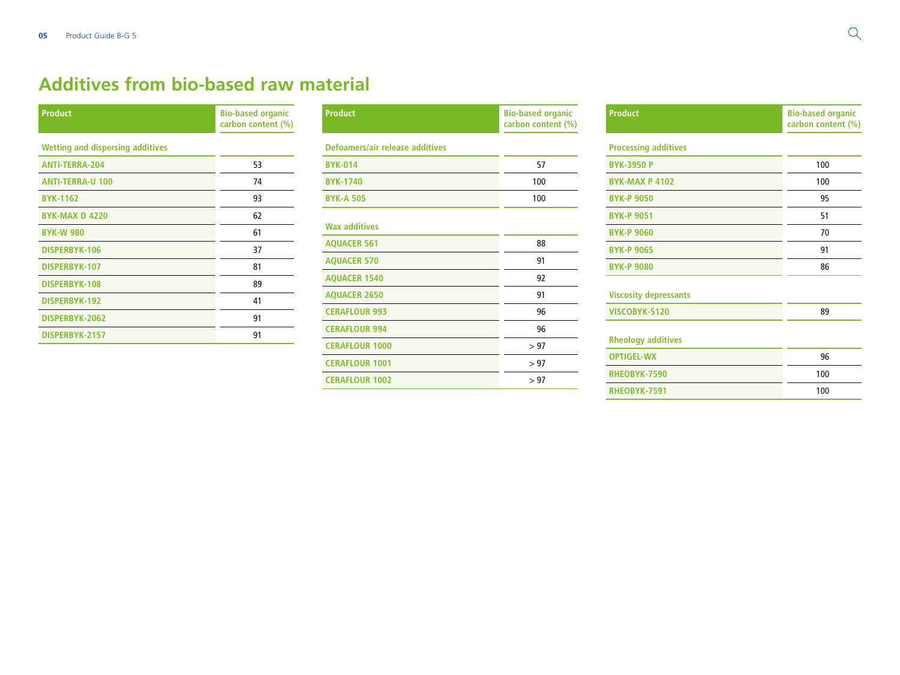## **Additives from bio-based raw material**

| <b>Product</b>                          | <b>Bio-based organic</b><br>carbon content (%) |
|-----------------------------------------|------------------------------------------------|
| <b>Wetting and dispersing additives</b> |                                                |
| <b>ANTI-TERRA-204</b>                   | 53                                             |
| <b>ANTI-TERRA-U 100</b>                 | 74                                             |
| <b>BYK-1162</b>                         | 93                                             |
| <b>BYK-MAX D 4220</b>                   | 62                                             |
| <b>BYK-W 980</b>                        | 61                                             |
| DISPERBYK-106                           | 37                                             |
| DISPERBYK-107                           | 81                                             |
| DISPERBYK-108                           | 89                                             |
| DISPERBYK-192                           | 41                                             |
| DISPERBYK-2062                          | 91                                             |
| DISPERBYK-2157                          | 91                                             |

| <b>Product</b>                  | <b>Bio-based organic</b><br>carbon content (%) |
|---------------------------------|------------------------------------------------|
| Defoamers/air release additives |                                                |
| <b>BYK-014</b>                  | 57                                             |
| <b>BYK-1740</b>                 | 100                                            |
| <b>BYK-A 505</b>                | 100                                            |
| <b>Wax additives</b>            |                                                |
| <b>AQUACER 561</b>              | 88                                             |
| <b>AQUACER 570</b>              | 91                                             |
| <b>AQUACER 1540</b>             | 92                                             |
| <b>AQUACER 2650</b>             | 91                                             |
| <b>CERAFLOUR 993</b>            | 96                                             |
| <b>CERAFLOUR 994</b>            | 96                                             |
| <b>CERAFLOUR 1000</b>           | > 97                                           |
| <b>CERAFLOUR 1001</b>           | > 97                                           |
| <b>CERAFLOUR 1002</b>           | > 97                                           |

| <b>Product</b>               | <b>Bio-based organic</b><br>carbon content (%) |
|------------------------------|------------------------------------------------|
| <b>Processing additives</b>  |                                                |
| <b>BYK-3950 P</b>            | 100                                            |
| <b>BYK-MAX P 4102</b>        | 100                                            |
| <b>BYK-P 9050</b>            | 95                                             |
| <b>BYK-P 9051</b>            | 51                                             |
| <b>BYK-P 9060</b>            | 70                                             |
| <b>BYK-P 9065</b>            | 91                                             |
| <b>BYK-P 9080</b>            | 86                                             |
| <b>Viscosity depressants</b> |                                                |
| VISCOBYK-5120                | 89                                             |

|           | heology additives |  |
|-----------|-------------------|--|
| --------- |                   |  |

| 96  |
|-----|
| 100 |
| 100 |
|     |